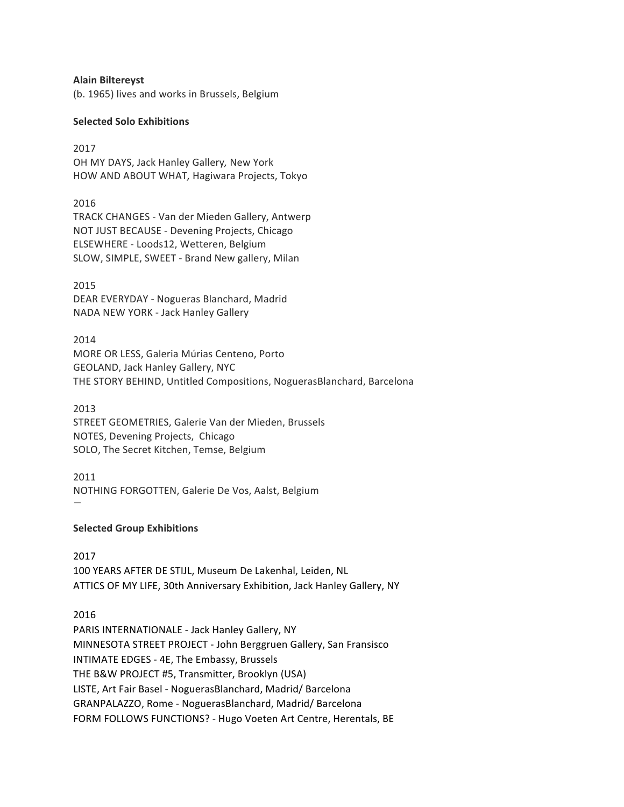**Alain Biltereyst**  (b. 1965) lives and works in Brussels, Belgium

## **Selected Solo Exhibitions**

2017 OH MY DAYS, Jack Hanley Gallery, New York HOW AND ABOUT WHAT, Hagiwara Projects, Tokyo

2016 TRACK CHANGES - Van der Mieden Gallery, Antwerp NOT JUST BECAUSE - Devening Projects, Chicago ELSEWHERE - Loods12, Wetteren, Belgium SLOW, SIMPLE, SWEET - Brand New gallery, Milan

2015 DEAR EVERYDAY - Nogueras Blanchard, Madrid NADA NEW YORK - Jack Hanley Gallery

2014 MORE OR LESS, Galeria Múrias Centeno, Porto GEOLAND, Jack Hanley Gallery, NYC THE STORY BEHIND, Untitled Compositions, NoguerasBlanchard, Barcelona

2013 STREET GEOMETRIES, Galerie Van der Mieden, Brussels NOTES, Devening Projects, Chicago SOLO, The Secret Kitchen, Temse, Belgium

2011 NOTHING FORGOTTEN, Galerie De Vos, Aalst, Belgium —

## **Selected Group Exhibitions**

# 2017

100 YEARS AFTER DE STIJL, Museum De Lakenhal, Leiden, NL ATTICS OF MY LIFE, 30th Anniversary Exhibition, Jack Hanley Gallery, NY

2016

PARIS INTERNATIONALE - Jack Hanley Gallery, NY MINNESOTA STREET PROJECT - John Berggruen Gallery, San Fransisco INTIMATE EDGES - 4E, The Embassy, Brussels THE B&W PROJECT #5, Transmitter, Brooklyn (USA) LISTE, Art Fair Basel - NoguerasBlanchard, Madrid/ Barcelona GRANPALAZZO, Rome - NoguerasBlanchard, Madrid/ Barcelona FORM FOLLOWS FUNCTIONS? - Hugo Voeten Art Centre, Herentals, BE